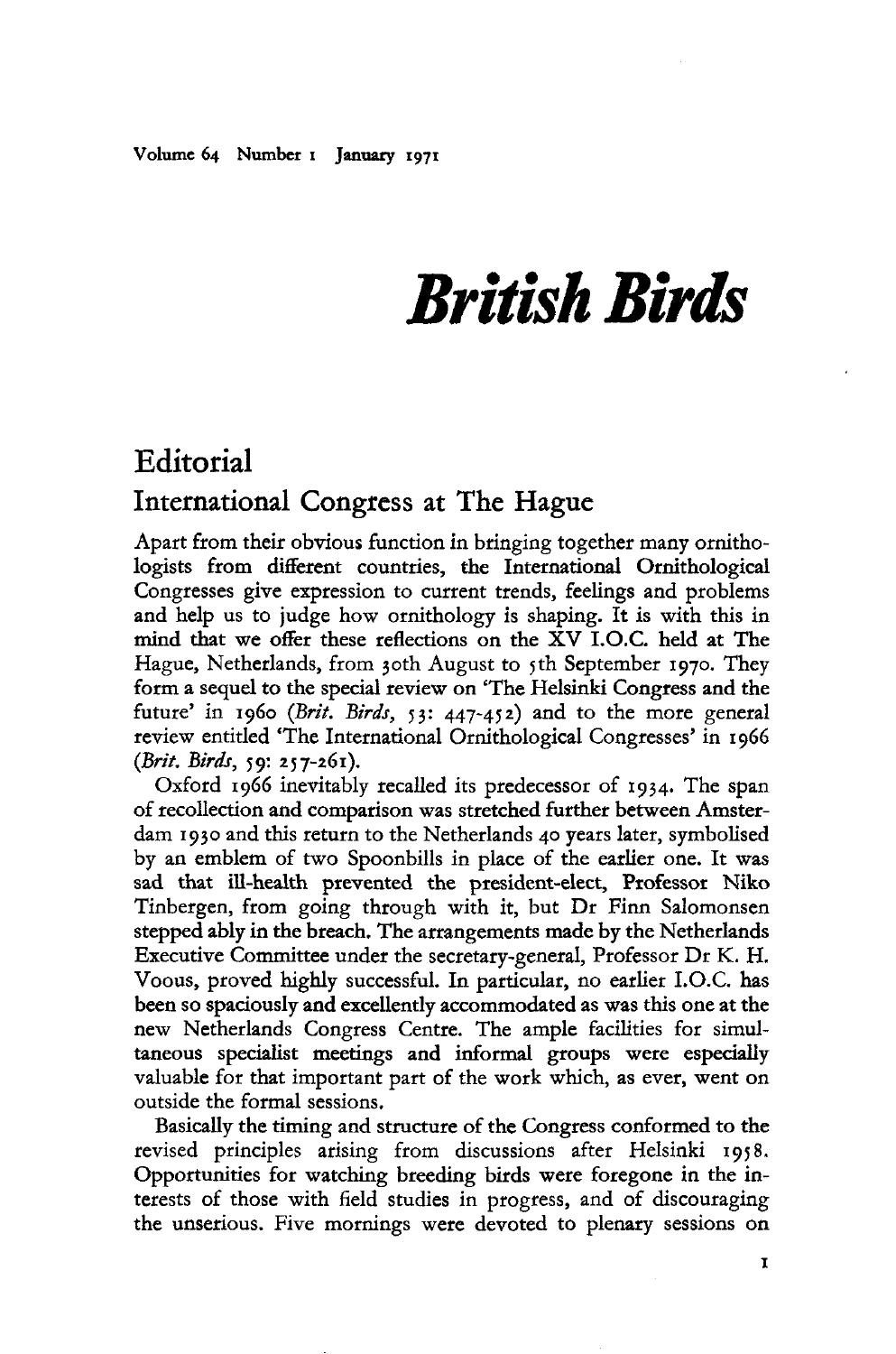## *British Birds*

## **Editorial** International Congress at The Hague

Apart from their obvious function in bringing together many ornithologists from different countries, the International Ornithological Congresses give expression to current trends, feelings and problems and help us to judge how ornithology is shaping. It is with this in mind that we offer these reflections on the XV I.O.C. held at The Hague, Netherlands, from 30th August to 5th September 1970. They form a sequel to the special review on 'The Helsinki Congress and the future' in 1960 (*Brit. Birds,* 53: 447-452) and to the more general review entitled 'The International Ornithological Congresses' in 1966 *(Brit. Birds,* 59: 257-261).

Oxford 1966 inevitably recalled its predecessor of 1934. The span of recollection and comparison was stretched further between Amsterdam 1930 and this return to the Netherlands 40 years later, symbolised by an emblem of two Spoonbills in place of the earlier one. It was sad that ill-health prevented the president-elect, Professor Niko Tinbergen, from going through with it, but Dr Finn Salomonsen stepped ably in the breach. The arrangements made by the Netherlands Executive Committee under the secretary-general, Professor Dr K. H. Voous, proved highly successful. In particular, no earlier I.O.C. has been so spaciously and excellently accommodated as was this one at the new Netherlands Congress Centre. The ample facilities for simultaneous specialist meetings and informal groups were especially valuable for that important part of the work which, as ever, went on outside the formal sessions.

Basically the timing and structure of the Congress conformed to the revised principles arising from discussions after Helsinki 1958. Opportunities for watching breeding birds were foregone in the interests of those with field studies in progress, and of discouraging the unserious. Five mornings were devoted to plenary sessions on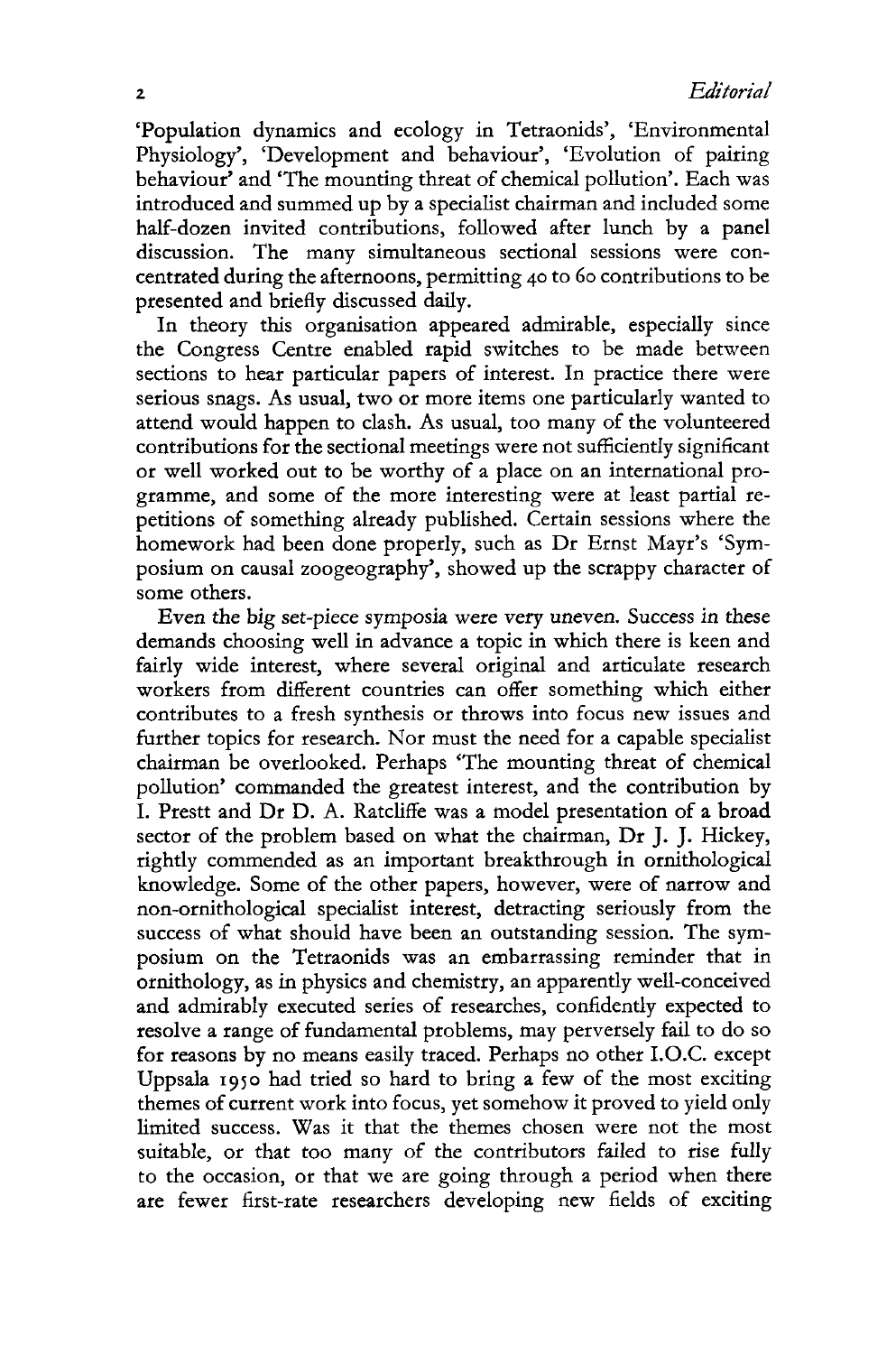'Population dynamics and ecology in Tetraonids', 'Environmental Physiology', 'Development and behaviour', 'Evolution of pairing behaviour' and 'The mounting threat of chemical pollution'. Each was introduced and summed up by a specialist chairman and included some half-dozen invited contributions, followed after lunch by a panel discussion. The many simultaneous sectional sessions were concentrated during the afternoons, permitting 40 to 60 contributions to be presented and briefly discussed daily.

In theory this organisation appeared admirable, especially since the Congress Centre enabled rapid switches to be made between sections to hear particular papers of interest. In practice there were serious snags. As usual, two or more items one particularly wanted to attend would happen to clash. As usual, too many of the volunteered contributions for the sectional meetings were not sufficiently significant or well worked out to be worthy of a place on an international programme, and some of the more interesting were at least partial repetitions of something already published. Certain sessions where the homework had been done properly, such as Dr Ernst Mayr's 'Symposium on causal zoogeography', showed up the scrappy character of some others.

Even the big set-piece symposia were very uneven. Success in these demands choosing well in advance a topic in which there is keen and fairly wide interest, where several original and articulate research workers from different countries can offer something which either contributes to a fresh synthesis or throws into focus new issues and further topics for research. Nor must the need for a capable specialist chairman be overlooked. Perhaps 'The mounting threat of chemical pollution' commanded the greatest interest, and the contribution by I. Prestt and Dr D. A. Ratcliffe was a model presentation of a broad sector of the problem based on what the chairman, Dr J. J. Hickey, rightly commended as an important breakthrough in ornithological knowledge. Some of the other papers, however, were of narrow and non-ornithological specialist interest, detracting seriously from the success of what should have been an outstanding session. The symposium on the Tetraonids was an embarrassing reminder that in ornithology, as in physics and chemistry, an apparently well-conceived and admirably executed series of researches, confidently expected to resolve a range of fundamental problems, may perversely fail to do so for reasons by no means easily traced. Perhaps no other I.O.C. except Uppsala 1950 had tried so hard to bring a few of the most exciting themes of current work into focus, yet somehow it proved to yield only limited success. Was it that the themes chosen were not the most suitable, or that too many of the contributors failed to rise fully to the occasion, or that we are going through a period when there are fewer first-rate researchers developing new fields of exciting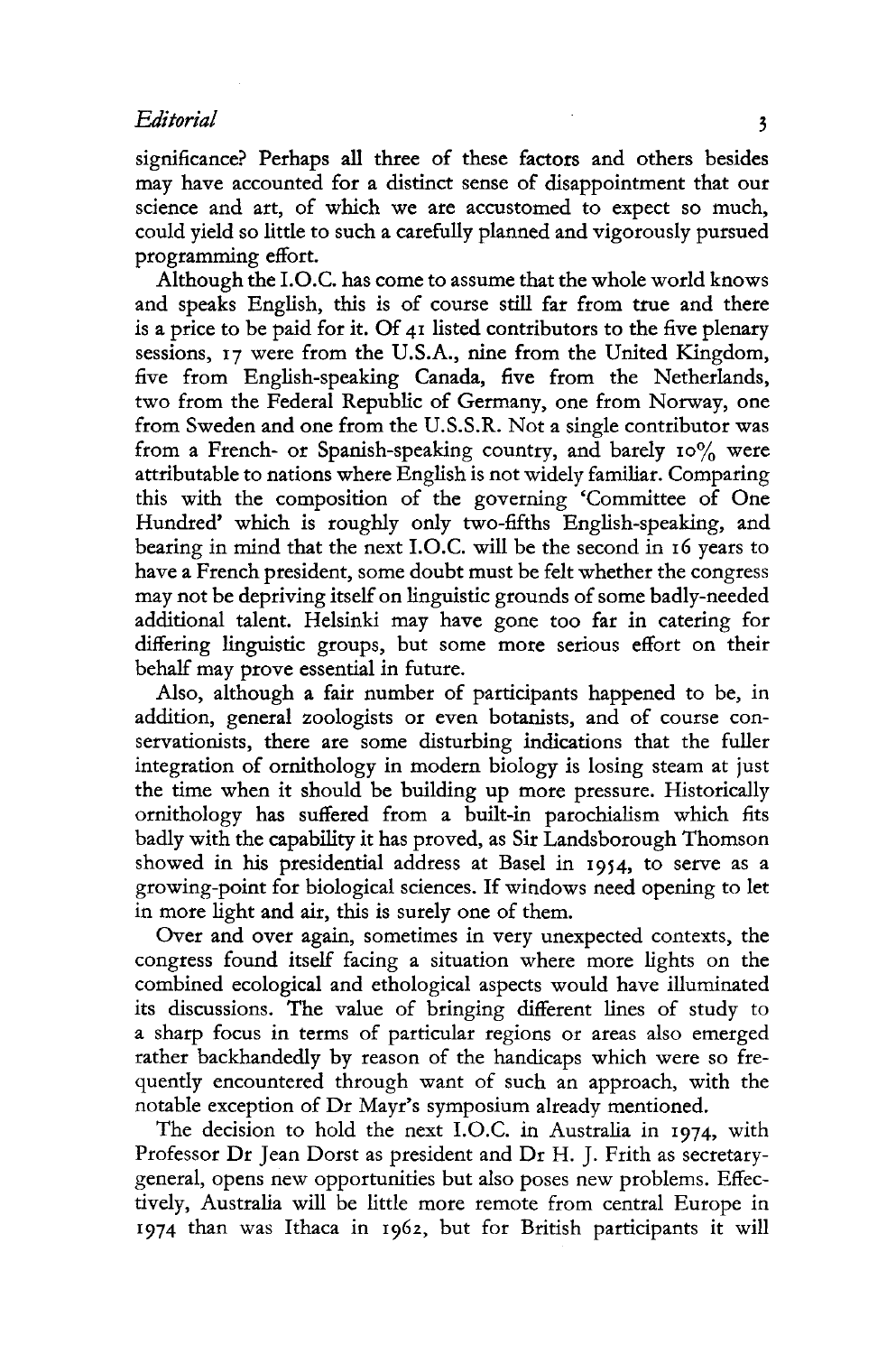## *Editorial* 3

significance? Perhaps all three of these factors and others besides may have accounted for a distinct sense of disappointment that our science and art, of which we are accustomed to expect so much, could yield so little to such a carefully planned and vigorously pursued programming effort.

Although the I.O.C. has come to assume that the whole world knows and speaks English, this is of course still far from true and there is a price to be paid for it. Of 41 listed contributors to the five plenary sessions, 17 were from the U.S.A., nine from the United Kingdom, five from English-speaking Canada, five from the Netherlands, two from the Federal Republic of Germany, one from Norway, one from Sweden and one from the U.S.S.R. Not a single contributor was from a French- or Spanish-speaking country, and barely 10% were attributable to nations where English is not widely familiar. Comparing this with the composition of the governing 'Committee of One Hundred' which is roughly only two-fifths English-speaking, and bearing in mind that the next I.O.C. will be the second in 16 years to have a French president, some doubt must be felt whether the congress may not be depriving itself on linguistic grounds of some badly-needed additional talent. Helsinki may have gone too far in catering for differing linguistic groups, but some more serious effort on their behalf may prove essential in future.

Also, although a fair number of participants happened to be, in addition, general zoologists or even botanists, and of course conservationists, there are some disturbing indications that the fuller integration of ornithology in modern biology is losing steam at just the time when it should be building up more pressure. Historically ornithology has suffered from a built-in parochialism which fits badly with the capability it has proved, as Sir Landsborough Thomson showed in his presidential address at Basel in 1954, to serve as a growing-point for biological sciences. If windows need opening to let in more light and air, this is surely one of them.

Over and over again, sometimes in very unexpected contexts, the congress found itself facing a situation where more lights on the combined ecological and ethological aspects would have illuminated its discussions. The value of bringing different lines of study to a sharp focus in terms of particular regions or areas also emerged rather backhandedly by reason of the handicaps which were so frequently encountered through want of such an approach, with the notable exception of Dr Mayr's symposium already mentioned.

The decision to hold the next I.O.C. in Australia in 1974, with Professor Dr Jean Dorst as president and Dr H. J. Frith as secretarygeneral, opens new opportunities but also poses new problems. Effectively, Australia will be little more remote from central Europe in 1974 than was Ithaca in 1962, but for British participants it will